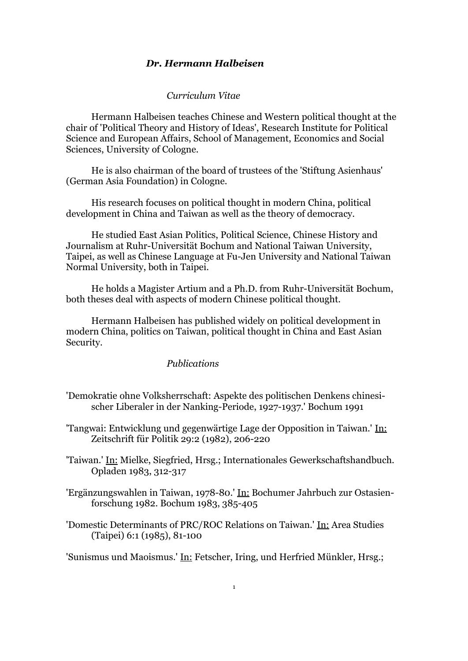## *Dr. Hermann Halbeisen*

#### *Curriculum Vitae*

Hermann Halbeisen teaches Chinese and Western political thought at the chair of 'Political Theory and History of Ideas', Research Institute for Political Science and European Affairs, School of Management, Economics and Social Sciences, University of Cologne.

He is also chairman of the board of trustees of the 'Stiftung Asienhaus' (German Asia Foundation) in Cologne.

His research focuses on political thought in modern China, political development in China and Taiwan as well as the theory of democracy.

He studied East Asian Politics, Political Science, Chinese History and Journalism at Ruhr-Universität Bochum and National Taiwan University, Taipei, as well as Chinese Language at Fu-Jen University and National Taiwan Normal University, both in Taipei.

He holds a Magister Artium and a Ph.D. from Ruhr-Universität Bochum, both theses deal with aspects of modern Chinese political thought.

Hermann Halbeisen has published widely on political development in modern China, politics on Taiwan, political thought in China and East Asian Security.

# *Publications*

- 'Demokratie ohne Volksherrschaft: Aspekte des politischen Denkens chinesischer Liberaler in der Nanking-Periode, 1927-1937.' Bochum 1991
- 'Tangwai: Entwicklung und gegenwärtige Lage der Opposition in Taiwan.' In: Zeitschrift für Politik 29:2 (1982), 206-220

'Taiwan.' In: Mielke, Siegfried, Hrsg.; Internationales Gewerkschaftshandbuch. Opladen 1983, 312-317

- 'Ergänzungswahlen in Taiwan, 1978-80.' In: Bochumer Jahrbuch zur Ostasienforschung 1982. Bochum 1983, 385-405
- 'Domestic Determinants of PRC/ROC Relations on Taiwan.' In: Area Studies (Taipei) 6:1 (1985), 81-100

'Sunismus und Maoismus.' In: Fetscher, Iring, und Herfried Münkler, Hrsg.;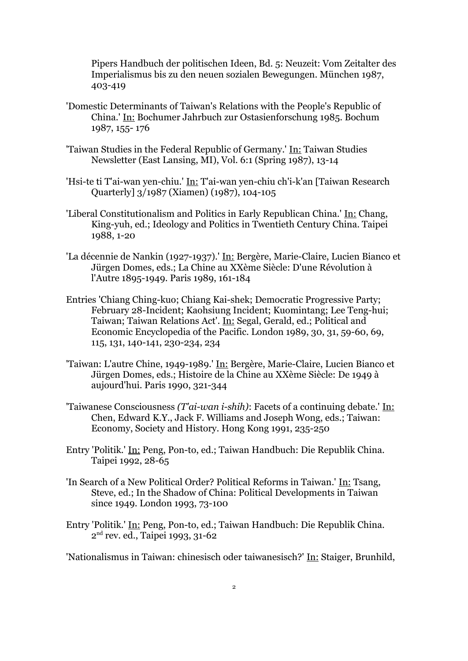Pipers Handbuch der politischen Ideen, Bd. 5: Neuzeit: Vom Zeitalter des Imperialismus bis zu den neuen sozialen Bewegungen. München 1987, 403-419

- 'Domestic Determinants of Taiwan's Relations with the People's Republic of China.' In: Bochumer Jahrbuch zur Ostasienforschung 1985. Bochum 1987, 155- 176
- 'Taiwan Studies in the Federal Republic of Germany.' In: Taiwan Studies Newsletter (East Lansing, MI), Vol. 6:1 (Spring 1987), 13-14
- 'Hsi-te ti T'ai-wan yen-chiu.' In: T'ai-wan yen-chiu ch'i-k'an [Taiwan Research Quarterly] 3/1987 (Xiamen) (1987), 104-105
- 'Liberal Constitutionalism and Politics in Early Republican China.' In: Chang, King-yuh, ed.; Ideology and Politics in Twentieth Century China. Taipei 1988, 1-20
- 'La décennie de Nankin (1927-1937).' In: Bergère, Marie-Claire, Lucien Bianco et Jürgen Domes, eds.; La Chine au XXème Siècle: D'une Révolution à l'Autre 1895-1949. Paris 1989, 161-184
- Entries 'Chiang Ching-kuo; Chiang Kai-shek; Democratic Progressive Party; February 28-Incident; Kaohsiung Incident; Kuomintang; Lee Teng-hui; Taiwan; Taiwan Relations Act'. In: Segal, Gerald, ed.; Political and Economic Encyclopedia of the Pacific. London 1989, 30, 31, 59-60, 69, 115, 131, 140-141, 230-234, 234
- 'Taiwan: L'autre Chine, 1949-1989.' In: Bergère, Marie-Claire, Lucien Bianco et Jürgen Domes, eds.; Histoire de la Chine au XXème Siècle: De 1949 à aujourd'hui. Paris 1990, 321-344
- 'Taiwanese Consciousness *(T'ai-wan i-shih)*: Facets of a continuing debate.' In: Chen, Edward K.Y., Jack F. Williams and Joseph Wong, eds.; Taiwan: Economy, Society and History. Hong Kong 1991, 235-250
- Entry 'Politik.' In: Peng, Pon-to, ed.; Taiwan Handbuch: Die Republik China. Taipei 1992, 28-65
- 'In Search of a New Political Order? Political Reforms in Taiwan.' In: Tsang, Steve, ed.; In the Shadow of China: Political Developments in Taiwan since 1949. London 1993, 73-100
- Entry 'Politik.' In: Peng, Pon-to, ed.; Taiwan Handbuch: Die Republik China. 2<sup>nd</sup> rev. ed., Taipei 1993, 31-62

'Nationalismus in Taiwan: chinesisch oder taiwanesisch?' In: Staiger, Brunhild,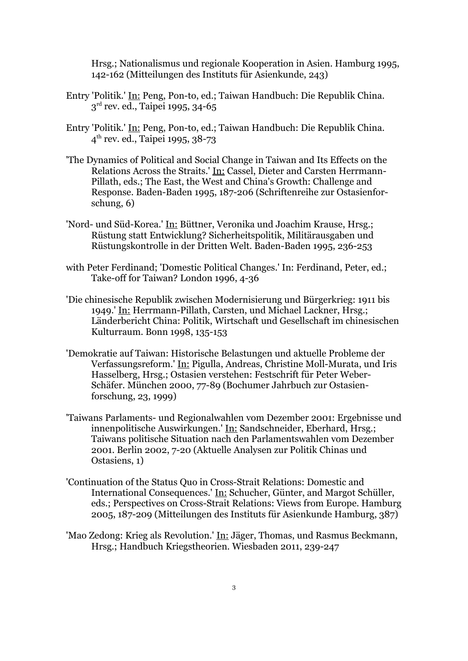Hrsg.; Nationalismus und regionale Kooperation in Asien. Hamburg 1995, 142-162 (Mitteilungen des Instituts für Asienkunde, 243)

- Entry 'Politik.' In: Peng, Pon-to, ed.; Taiwan Handbuch: Die Republik China. 3<sup>rd</sup> rev. ed., Taipei 1995, 34-65
- Entry 'Politik.' In: Peng, Pon-to, ed.; Taiwan Handbuch: Die Republik China. 4 th rev. ed., Taipei 1995, 38-73
- 'The Dynamics of Political and Social Change in Taiwan and Its Effects on the Relations Across the Straits.' In: Cassel, Dieter and Carsten Herrmann-Pillath, eds.; The East, the West and China's Growth: Challenge and Response. Baden-Baden 1995, 187-206 (Schriftenreihe zur Ostasienforschung, 6)
- 'Nord- und Süd-Korea.' In: Büttner, Veronika und Joachim Krause, Hrsg.; Rüstung statt Entwicklung? Sicherheitspolitik, Militärausgaben und Rüstungskontrolle in der Dritten Welt. Baden-Baden 1995, 236-253
- with Peter Ferdinand; 'Domestic Political Changes.' In: Ferdinand, Peter, ed.; Take-off for Taiwan? London 1996, 4-36
- 'Die chinesische Republik zwischen Modernisierung und Bürgerkrieg: 1911 bis 1949.' In: Herrmann-Pillath, Carsten, und Michael Lackner, Hrsg.; Länderbericht China: Politik, Wirtschaft und Gesellschaft im chinesischen Kulturraum. Bonn 1998, 135-153
- 'Demokratie auf Taiwan: Historische Belastungen und aktuelle Probleme der Verfassungsreform.' In: Pigulla, Andreas, Christine Moll-Murata, und Iris Hasselberg, Hrsg.; Ostasien verstehen: Festschrift für Peter Weber-Schäfer. München 2000, 77-89 (Bochumer Jahrbuch zur Ostasienforschung, 23, 1999)
- 'Taiwans Parlaments- und Regionalwahlen vom Dezember 2001: Ergebnisse und innenpolitische Auswirkungen.' In: Sandschneider, Eberhard, Hrsg.; Taiwans politische Situation nach den Parlamentswahlen vom Dezember 2001. Berlin 2002, 7-20 (Aktuelle Analysen zur Politik Chinas und Ostasiens, 1)
- 'Continuation of the Status Quo in Cross-Strait Relations: Domestic and International Consequences.' In: Schucher, Günter, and Margot Schüller, eds.; Perspectives on Cross-Strait Relations: Views from Europe. Hamburg 2005, 187-209 (Mitteilungen des Instituts für Asienkunde Hamburg, 387)
- 'Mao Zedong: Krieg als Revolution.' In: Jäger, Thomas, und Rasmus Beckmann, Hrsg.; Handbuch Kriegstheorien. Wiesbaden 2011, 239-247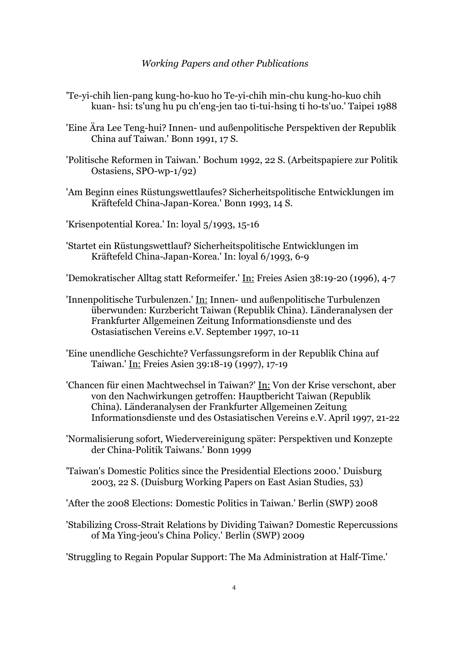## *Working Papers and other Publications*

- 'Te-yi-chih lien-pang kung-ho-kuo ho Te-yi-chih min-chu kung-ho-kuo chih kuan- hsi: ts'ung hu pu ch'eng-jen tao ti-tui-hsing ti ho-ts'uo.' Taipei 1988
- 'Eine Ära Lee Teng-hui? Innen- und außenpolitische Perspektiven der Republik China auf Taiwan.' Bonn 1991, 17 S.
- 'Politische Reformen in Taiwan.' Bochum 1992, 22 S. (Arbeitspapiere zur Politik Ostasiens, SPO-wp-1/92)
- 'Am Beginn eines Rüstungswettlaufes? Sicherheitspolitische Entwicklungen im Kräftefeld China-Japan-Korea.' Bonn 1993, 14 S.
- 'Krisenpotential Korea.' In: loyal 5/1993, 15-16
- 'Startet ein Rüstungswettlauf? Sicherheitspolitische Entwicklungen im Kräftefeld China-Japan-Korea.' In: loyal 6/1993, 6-9
- 'Demokratischer Alltag statt Reformeifer.' In: Freies Asien 38:19-20 (1996), 4-7
- 'Innenpolitische Turbulenzen.' In: Innen- und außenpolitische Turbulenzen überwunden: Kurzbericht Taiwan (Republik China). Länderanalysen der Frankfurter Allgemeinen Zeitung Informationsdienste und des Ostasiatischen Vereins e.V. September 1997, 10-11
- 'Eine unendliche Geschichte? Verfassungsreform in der Republik China auf Taiwan.' In: Freies Asien 39:18-19 (1997), 17-19
- 'Chancen für einen Machtwechsel in Taiwan?' In: Von der Krise verschont, aber von den Nachwirkungen getroffen: Hauptbericht Taiwan (Republik China). Länderanalysen der Frankfurter Allgemeinen Zeitung Informationsdienste und des Ostasiatischen Vereins e.V. April 1997, 21-22
- 'Normalisierung sofort, Wiedervereinigung später: Perspektiven und Konzepte der China-Politik Taiwans.' Bonn 1999
- 'Taiwan's Domestic Politics since the Presidential Elections 2000.' Duisburg 2003, 22 S. (Duisburg Working Papers on East Asian Studies, 53)
- 'After the 2008 Elections: Domestic Politics in Taiwan.' Berlin (SWP) 2008
- 'Stabilizing Cross-Strait Relations by Dividing Taiwan? Domestic Repercussions of Ma Ying-jeou's China Policy.' Berlin (SWP) 2009
- 'Struggling to Regain Popular Support: The Ma Administration at Half-Time.'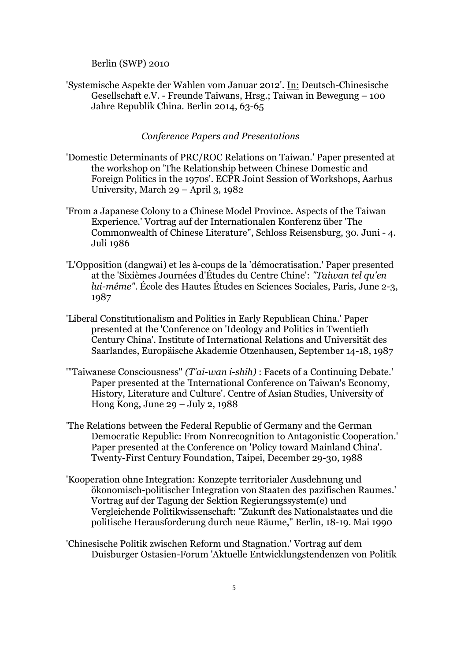Berlin (SWP) 2010

'Systemische Aspekte der Wahlen vom Januar 2012'. In: Deutsch-Chinesische Gesellschaft e.V. - Freunde Taiwans, Hrsg.; Taiwan in Bewegung – 100 Jahre Republik China. Berlin 2014, 63-65

### *Conference Papers and Presentations*

- 'Domestic Determinants of PRC/ROC Relations on Taiwan.' Paper presented at the workshop on 'The Relationship between Chinese Domestic and Foreign Politics in the 1970s'. ECPR Joint Session of Workshops, Aarhus University, March 29 – April 3, 1982
- 'From a Japanese Colony to a Chinese Model Province. Aspects of the Taiwan Experience.' Vortrag auf der Internationalen Konferenz über 'The Commonwealth of Chinese Literature", Schloss Reisensburg, 30. Juni - 4. Juli 1986
- 'L'Opposition (dangwai) et les à-coups de la 'démocratisation.' Paper presented at the 'Sixièmes Journées d'Études du Centre Chine': *"Taiwan tel qu'en lui-même"*. École des Hautes Études en Sciences Sociales, Paris, June 2-3, 1987
- 'Liberal Constitutionalism and Politics in Early Republican China.' Paper presented at the 'Conference on 'Ideology and Politics in Twentieth Century China'. Institute of International Relations and Universität des Saarlandes, Europäische Akademie Otzenhausen, September 14-18, 1987
- '"Taiwanese Consciousness" *(T'ai-wan i-shih)* : Facets of a Continuing Debate.' Paper presented at the 'International Conference on Taiwan's Economy, History, Literature and Culture'. Centre of Asian Studies, University of Hong Kong, June 29 – July 2, 1988
- 'The Relations between the Federal Republic of Germany and the German Democratic Republic: From Nonrecognition to Antagonistic Cooperation.' Paper presented at the Conference on 'Policy toward Mainland China'. Twenty-First Century Foundation, Taipei, December 29-30, 1988
- 'Kooperation ohne Integration: Konzepte territorialer Ausdehnung und ökonomisch-politischer Integration von Staaten des pazifischen Raumes.' Vortrag auf der Tagung der Sektion Regierungssystem(e) und Vergleichende Politikwissenschaft: "Zukunft des Nationalstaates und die politische Herausforderung durch neue Räume," Berlin, 18-19. Mai 1990
- 'Chinesische Politik zwischen Reform und Stagnation.' Vortrag auf dem Duisburger Ostasien-Forum 'Aktuelle Entwicklungstendenzen von Politik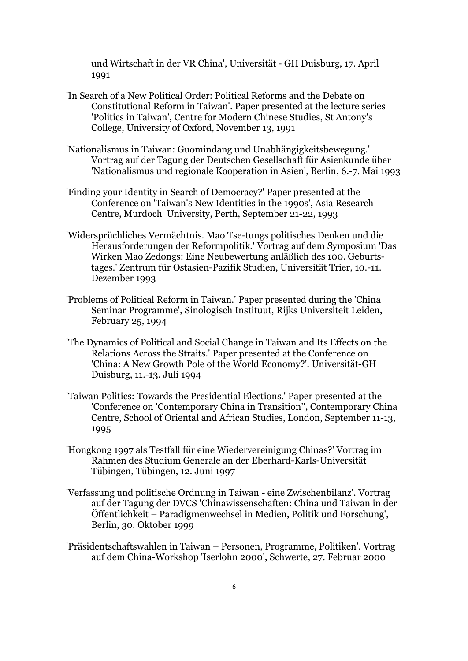und Wirtschaft in der VR China', Universität - GH Duisburg, 17. April 1991

- 'In Search of a New Political Order: Political Reforms and the Debate on Constitutional Reform in Taiwan'. Paper presented at the lecture series 'Politics in Taiwan', Centre for Modern Chinese Studies, St Antony's College, University of Oxford, November 13, 1991
- 'Nationalismus in Taiwan: Guomindang und Unabhängigkeitsbewegung.' Vortrag auf der Tagung der Deutschen Gesellschaft für Asienkunde über 'Nationalismus und regionale Kooperation in Asien', Berlin, 6.-7. Mai 1993
- 'Finding your Identity in Search of Democracy?' Paper presented at the Conference on 'Taiwan's New Identities in the 1990s', Asia Research Centre, Murdoch University, Perth, September 21-22, 1993
- 'Widersprüchliches Vermächtnis. Mao Tse-tungs politisches Denken und die Herausforderungen der Reformpolitik.' Vortrag auf dem Symposium 'Das Wirken Mao Zedongs: Eine Neubewertung anläßlich des 100. Geburtstages.' Zentrum für Ostasien-Pazifik Studien, Universität Trier, 10.-11. Dezember 1993
- 'Problems of Political Reform in Taiwan.' Paper presented during the 'China Seminar Programme', Sinologisch Instituut, Rijks Universiteit Leiden, February 25, 1994
- 'The Dynamics of Political and Social Change in Taiwan and Its Effects on the Relations Across the Straits.' Paper presented at the Conference on 'China: A New Growth Pole of the World Economy?'. Universität-GH Duisburg, 11.-13. Juli 1994
- 'Taiwan Politics: Towards the Presidential Elections.' Paper presented at the 'Conference on 'Contemporary China in Transition'', Contemporary China Centre, School of Oriental and African Studies, London, September 11-13, 1995
- 'Hongkong 1997 als Testfall für eine Wiedervereinigung Chinas?' Vortrag im Rahmen des Studium Generale an der Eberhard-Karls-Universität Tübingen, Tübingen, 12. Juni 1997
- 'Verfassung und politische Ordnung in Taiwan eine Zwischenbilanz'. Vortrag auf der Tagung der DVCS 'Chinawissenschaften: China und Taiwan in der Öffentlichkeit – Paradigmenwechsel in Medien, Politik und Forschung', Berlin, 30. Oktober 1999
- 'Präsidentschaftswahlen in Taiwan Personen, Programme, Politiken'. Vortrag auf dem China-Workshop 'Iserlohn 2000', Schwerte, 27. Februar 2000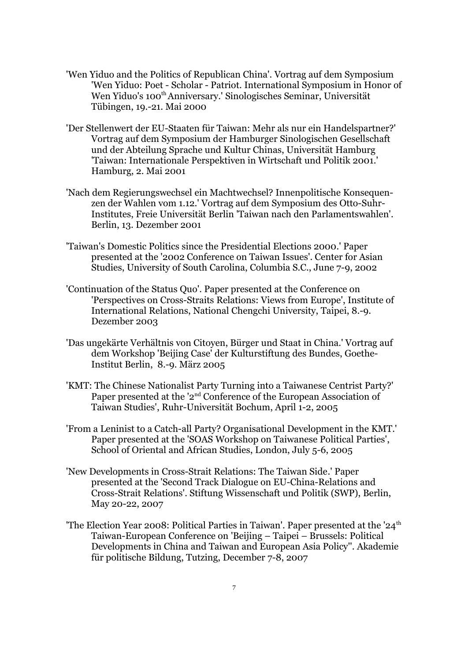- 'Wen Yiduo and the Politics of Republican China'. Vortrag auf dem Symposium 'Wen Yiduo: Poet - Scholar - Patriot. International Symposium in Honor of Wen Yiduo's 100<sup>th</sup> Anniversary.' Sinologisches Seminar, Universität Tübingen, 19.-21. Mai 2000
- 'Der Stellenwert der EU-Staaten für Taiwan: Mehr als nur ein Handelspartner?' Vortrag auf dem Symposium der Hamburger Sinologischen Gesellschaft und der Abteilung Sprache und Kultur Chinas, Universität Hamburg 'Taiwan: Internationale Perspektiven in Wirtschaft und Politik 2001.' Hamburg, 2. Mai 2001
- 'Nach dem Regierungswechsel ein Machtwechsel? Innenpolitische Konsequenzen der Wahlen vom 1.12.' Vortrag auf dem Symposium des Otto-Suhr-Institutes, Freie Universität Berlin 'Taiwan nach den Parlamentswahlen'. Berlin, 13. Dezember 2001
- 'Taiwan's Domestic Politics since the Presidential Elections 2000.' Paper presented at the '2002 Conference on Taiwan Issues'. Center for Asian Studies, University of South Carolina, Columbia S.C., June 7-9, 2002
- 'Continuation of the Status Quo'. Paper presented at the Conference on 'Perspectives on Cross-Straits Relations: Views from Europe', Institute of International Relations, National Chengchi University, Taipei, 8.-9. Dezember 2003
- 'Das ungekärte Verhältnis von Citoyen, Bürger und Staat in China.' Vortrag auf dem Workshop 'Beijing Case' der Kulturstiftung des Bundes, Goethe-Institut Berlin, 8.-9. März 2005
- 'KMT: The Chinese Nationalist Party Turning into a Taiwanese Centrist Party?' Paper presented at the '2<sup>nd</sup> Conference of the European Association of Taiwan Studies', Ruhr-Universität Bochum, April 1-2, 2005
- 'From a Leninist to a Catch-all Party? Organisational Development in the KMT.' Paper presented at the 'SOAS Workshop on Taiwanese Political Parties', School of Oriental and African Studies, London, July 5-6, 2005
- 'New Developments in Cross-Strait Relations: The Taiwan Side.' Paper presented at the 'Second Track Dialogue on EU-China-Relations and Cross-Strait Relations'. Stiftung Wissenschaft und Politik (SWP), Berlin, May 20-22, 2007
- 'The Election Year 2008: Political Parties in Taiwan'. Paper presented at the '24<sup>th</sup> Taiwan-European Conference on 'Beijing – Taipei – Brussels: Political Developments in China and Taiwan and European Asia Policy''. Akademie für politische Bildung, Tutzing, December 7-8, 2007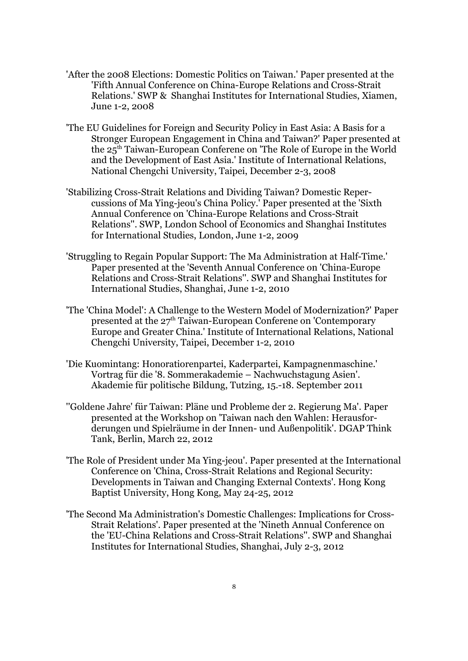- 'After the 2008 Elections: Domestic Politics on Taiwan.' Paper presented at the 'Fifth Annual Conference on China-Europe Relations and Cross-Strait Relations.' SWP & Shanghai Institutes for International Studies, Xiamen, June 1-2, 2008
- 'The EU Guidelines for Foreign and Security Policy in East Asia: A Basis for a Stronger European Engagement in China and Taiwan?' Paper presented at the 25th Taiwan-European Conferene on 'The Role of Europe in the World and the Development of East Asia.' Institute of International Relations, National Chengchi University, Taipei, December 2-3, 2008
- 'Stabilizing Cross-Strait Relations and Dividing Taiwan? Domestic Repercussions of Ma Ying-jeou's China Policy.' Paper presented at the 'Sixth Annual Conference on 'China-Europe Relations and Cross-Strait Relations''. SWP, London School of Economics and Shanghai Institutes for International Studies, London, June 1-2, 2009
- 'Struggling to Regain Popular Support: The Ma Administration at Half-Time.' Paper presented at the 'Seventh Annual Conference on 'China-Europe Relations and Cross-Strait Relations''. SWP and Shanghai Institutes for International Studies, Shanghai, June 1-2, 2010
- 'The 'China Model': A Challenge to the Western Model of Modernization?' Paper presented at the  $27<sup>th</sup>$  Taiwan-European Conferene on 'Contemporary Europe and Greater China.' Institute of International Relations, National Chengchi University, Taipei, December 1-2, 2010
- 'Die Kuomintang: Honoratiorenpartei, Kaderpartei, Kampagnenmaschine.' Vortrag für die '8. Sommerakademie – Nachwuchstagung Asien'. Akademie für politische Bildung, Tutzing, 15.-18. September 2011
- ''Goldene Jahre' für Taiwan: Pläne und Probleme der 2. Regierung Ma'. Paper presented at the Workshop on 'Taiwan nach den Wahlen: Herausforderungen und Spielräume in der Innen- und Außenpolitik'. DGAP Think Tank, Berlin, March 22, 2012
- 'The Role of President under Ma Ying-jeou'. Paper presented at the International Conference on 'China, Cross-Strait Relations and Regional Security: Developments in Taiwan and Changing External Contexts'. Hong Kong Baptist University, Hong Kong, May 24-25, 2012
- 'The Second Ma Administration's Domestic Challenges: Implications for Cross-Strait Relations'. Paper presented at the 'Nineth Annual Conference on the 'EU-China Relations and Cross-Strait Relations''. SWP and Shanghai Institutes for International Studies, Shanghai, July 2-3, 2012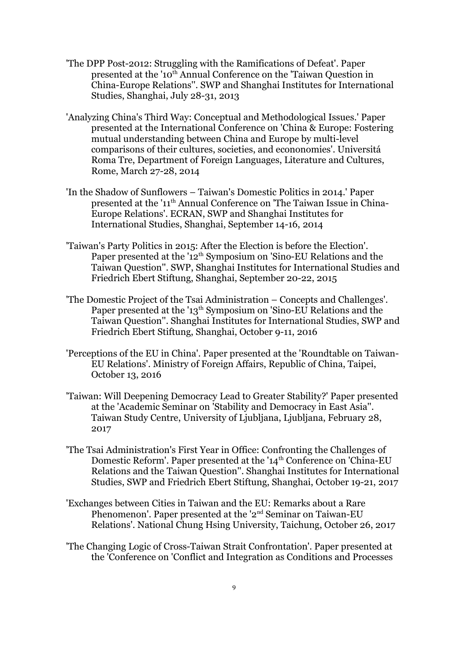- 'The DPP Post-2012: Struggling with the Ramifications of Defeat'. Paper presented at the '10<sup>th</sup> Annual Conference on the 'Taiwan Question in China-Europe Relations''. SWP and Shanghai Institutes for International Studies, Shanghai, July 28-31, 2013
- 'Analyzing China's Third Way: Conceptual and Methodological Issues.' Paper presented at the International Conference on 'China & Europe: Fostering mutual understanding between China and Europe by multi-level comparisons of their cultures, societies, and econonomies'. Universitá Roma Tre, Department of Foreign Languages, Literature and Cultures, Rome, March 27-28, 2014
- 'In the Shadow of Sunflowers Taiwan's Domestic Politics in 2014.' Paper presented at the '11th Annual Conference on 'The Taiwan Issue in China-Europe Relations'. ECRAN, SWP and Shanghai Institutes for International Studies, Shanghai, September 14-16, 2014
- 'Taiwan's Party Politics in 2015: After the Election is before the Election'. Paper presented at the '12<sup>th</sup> Symposium on 'Sino-EU Relations and the Taiwan Question''. SWP, Shanghai Institutes for International Studies and Friedrich Ebert Stiftung, Shanghai, September 20-22, 2015
- 'The Domestic Project of the Tsai Administration Concepts and Challenges'. Paper presented at the '13<sup>th</sup> Symposium on 'Sino-EU Relations and the Taiwan Question''. Shanghai Institutes for International Studies, SWP and Friedrich Ebert Stiftung, Shanghai, October 9-11, 2016
- 'Perceptions of the EU in China'. Paper presented at the 'Roundtable on Taiwan-EU Relations'. Ministry of Foreign Affairs, Republic of China, Taipei, October 13, 2016
- 'Taiwan: Will Deepening Democracy Lead to Greater Stability?' Paper presented at the 'Academic Seminar on 'Stability and Democracy in East Asia''. Taiwan Study Centre, University of Ljubljana, Ljubljana, February 28, 2017
- 'The Tsai Administration's First Year in Office: Confronting the Challenges of Domestic Reform'. Paper presented at the '14<sup>th</sup> Conference on 'China-EU Relations and the Taiwan Question''. Shanghai Institutes for International Studies, SWP and Friedrich Ebert Stiftung, Shanghai, October 19-21, 2017
- 'Exchanges between Cities in Taiwan and the EU: Remarks about a Rare Phenomenon'. Paper presented at the '2<sup>nd</sup> Seminar on Taiwan-EU Relations'. National Chung Hsing University, Taichung, October 26, 2017
- 'The Changing Logic of Cross-Taiwan Strait Confrontation'. Paper presented at the 'Conference on 'Conflict and Integration as Conditions and Processes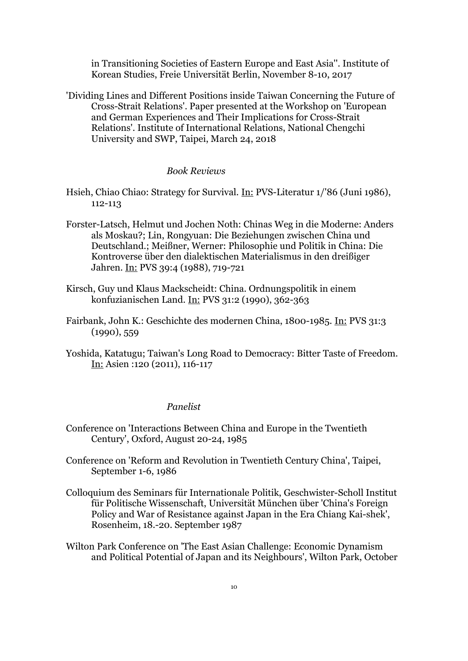in Transitioning Societies of Eastern Europe and East Asia''. Institute of Korean Studies, Freie Universität Berlin, November 8-10, 2017

'Dividing Lines and Different Positions inside Taiwan Concerning the Future of Cross-Strait Relations'. Paper presented at the Workshop on 'European and German Experiences and Their Implications for Cross-Strait Relations'. Institute of International Relations, National Chengchi University and SWP, Taipei, March 24, 2018

### *Book Reviews*

- Hsieh, Chiao Chiao: Strategy for Survival. In: PVS-Literatur 1/'86 (Juni 1986), 112-113
- Forster-Latsch, Helmut und Jochen Noth: Chinas Weg in die Moderne: Anders als Moskau?; Lin, Rongyuan: Die Beziehungen zwischen China und Deutschland.; Meißner, Werner: Philosophie und Politik in China: Die Kontroverse über den dialektischen Materialismus in den dreißiger Jahren. In: PVS 39:4 (1988), 719-721
- Kirsch, Guy und Klaus Mackscheidt: China. Ordnungspolitik in einem konfuzianischen Land. In: PVS 31:2 (1990), 362-363
- Fairbank, John K.: Geschichte des modernen China, 1800-1985. In: PVS 31:3 (1990), 559
- Yoshida, Katatugu; Taiwan's Long Road to Democracy: Bitter Taste of Freedom. In: Asien :120 (2011), 116-117

### *Panelist*

- Conference on 'Interactions Between China and Europe in the Twentieth Century', Oxford, August 20-24, 1985
- Conference on 'Reform and Revolution in Twentieth Century China', Taipei, September 1-6, 1986
- Colloquium des Seminars für Internationale Politik, Geschwister-Scholl Institut für Politische Wissenschaft, Universität München über 'China's Foreign Policy and War of Resistance against Japan in the Era Chiang Kai-shek', Rosenheim, 18.-20. September 1987
- Wilton Park Conference on 'The East Asian Challenge: Economic Dynamism and Political Potential of Japan and its Neighbours', Wilton Park, October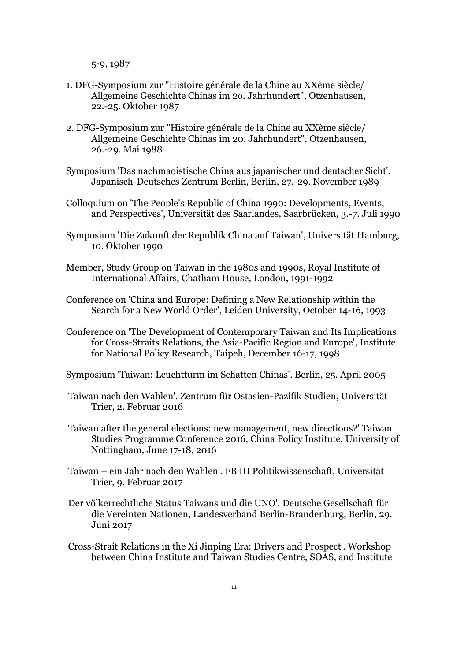5-9, 1987

- 1. DFG-Symposium zur "Histoire générale de la Chine au XXème siècle/ Allgemeine Geschichte Chinas im 2o. Jahrhundert", Otzenhausen, 22.-25. Oktober 1987
- 2. DFG-Symposium zur "Histoire générale de la Chine au XXème siècle/ Allgemeine Geschichte Chinas im 20. Jahrhundert", Otzenhausen, 26.-29. Mai 1988
- Symposium 'Das nachmaoistische China aus japanischer und deutscher Sicht', Japanisch-Deutsches Zentrum Berlin, Berlin, 27.-29. November 1989
- Colloquium on 'The People's Republic of China 1990: Developments, Events, and Perspectives', Universität des Saarlandes, Saarbrücken, 3.-7. Juli 1990
- Symposium 'Die Zukunft der Republik China auf Taiwan', Universität Hamburg, 10. Oktober 1990
- Member, Study Group on Taiwan in the 1980s and 1990s, Royal Institute of International Affairs, Chatham House, London, 1991-1992
- Conference on 'China and Europe: Defining a New Relationship within the Search for a New World Order', Leiden University, October 14-16, 1993
- Conference on 'The Development of Contemporary Taiwan and Its Implications for Cross-Straits Relations, the Asia-Pacific Region and Europe', Institute for National Policy Research, Taipeh, December 16-17, 1998
- Symposium 'Taiwan: Leuchtturm im Schatten Chinas'. Berlin, 25. April 2005
- 'Taiwan nach den Wahlen'. Zentrum für Ostasien-Pazifik Studien, Universität Trier, 2. Februar 2016
- 'Taiwan after the general elections: new management, new directions?' Taiwan Studies Programme Conference 2016, China Policy Institute, University of Nottingham, June 17-18, 2016
- 'Taiwan ein Jahr nach den Wahlen'. FB III Politikwissenschaft, Universität Trier, 9. Februar 2017
- 'Der völkerrechtliche Status Taiwans und die UNO'. Deutsche Gesellschaft für die Vereinten Nationen, Landesverband Berlin-Brandenburg, Berlin, 29. Juni 2017
- 'Cross-Strait Relations in the Xi Jinping Era: Drivers and Prospect'. Workshop between China Institute and Taiwan Studies Centre, SOAS, and Institute